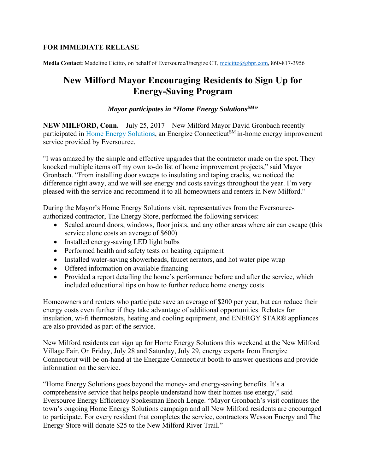## **FOR IMMEDIATE RELEASE**

**Media Contact:** Madeline Cicitto, on behalf of Eversource/Energize CT, mcicitto@gbpr.com, 860-817-3956

## **New Milford Mayor Encouraging Residents to Sign Up for Energy-Saving Program**

## *Mayor participates in "Home Energy Solutions*<sup>SM</sup>"

**NEW MILFORD, Conn.** – July 25, 2017 – New Milford Mayor David Gronbach recently participated in Home Energy Solutions, an Energize Connecticut<sup>SM</sup> in-home energy improvement service provided by Eversource.

"I was amazed by the simple and effective upgrades that the contractor made on the spot. They knocked multiple items off my own to-do list of home improvement projects," said Mayor Gronbach. "From installing door sweeps to insulating and taping cracks, we noticed the difference right away, and we will see energy and costs savings throughout the year. I'm very pleased with the service and recommend it to all homeowners and renters in New Milford."

During the Mayor's Home Energy Solutions visit, representatives from the Eversourceauthorized contractor, The Energy Store, performed the following services:

- Sealed around doors, windows, floor joists, and any other areas where air can escape (this service alone costs an average of \$600)
- Installed energy-saving LED light bulbs
- Performed health and safety tests on heating equipment
- Installed water-saving showerheads, faucet aerators, and hot water pipe wrap
- Offered information on available financing
- Provided a report detailing the home's performance before and after the service, which included educational tips on how to further reduce home energy costs

Homeowners and renters who participate save an average of \$200 per year, but can reduce their energy costs even further if they take advantage of additional opportunities. Rebates for insulation, wi-fi thermostats, heating and cooling equipment, and ENERGY STAR® appliances are also provided as part of the service.

New Milford residents can sign up for Home Energy Solutions this weekend at the New Milford Village Fair. On Friday, July 28 and Saturday, July 29, energy experts from Energize Connecticut will be on-hand at the Energize Connecticut booth to answer questions and provide information on the service.

"Home Energy Solutions goes beyond the money- and energy-saving benefits. It's a comprehensive service that helps people understand how their homes use energy," said Eversource Energy Efficiency Spokesman Enoch Lenge. "Mayor Gronbach's visit continues the town's ongoing Home Energy Solutions campaign and all New Milford residents are encouraged to participate. For every resident that completes the service, contractors Wesson Energy and The Energy Store will donate \$25 to the New Milford River Trail."